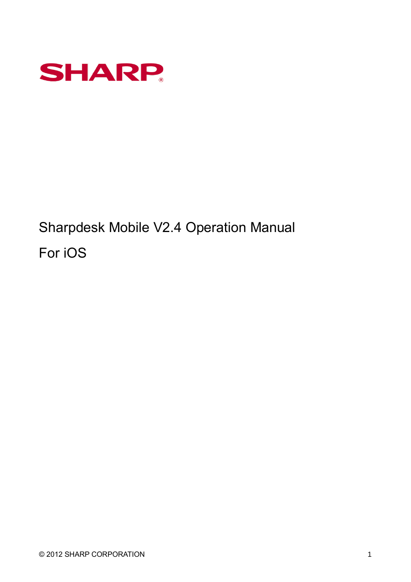

Sharpdesk Mobile V2.4 Operation Manual For iOS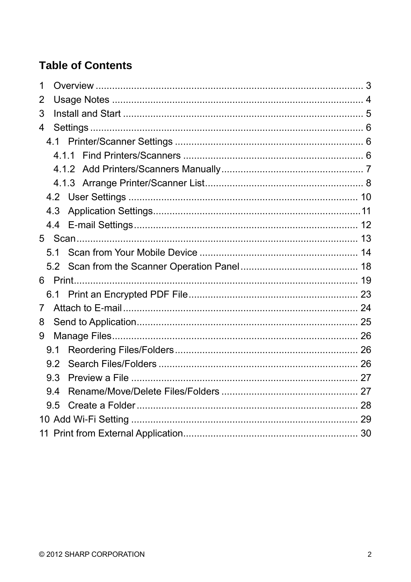# **Table of Contents**

| 1              |     |  |  |  |  |
|----------------|-----|--|--|--|--|
| 2              |     |  |  |  |  |
| 3              |     |  |  |  |  |
| 4              |     |  |  |  |  |
|                |     |  |  |  |  |
|                |     |  |  |  |  |
|                |     |  |  |  |  |
|                |     |  |  |  |  |
|                |     |  |  |  |  |
|                | 4.3 |  |  |  |  |
|                | 4.4 |  |  |  |  |
|                |     |  |  |  |  |
|                | 51  |  |  |  |  |
|                |     |  |  |  |  |
|                |     |  |  |  |  |
|                |     |  |  |  |  |
| $7\phantom{.}$ |     |  |  |  |  |
| 8              |     |  |  |  |  |
| 9              |     |  |  |  |  |
|                | 9.1 |  |  |  |  |
|                | 9.2 |  |  |  |  |
|                | 9.3 |  |  |  |  |
|                | 9.4 |  |  |  |  |
|                | 9.5 |  |  |  |  |
|                |     |  |  |  |  |
|                |     |  |  |  |  |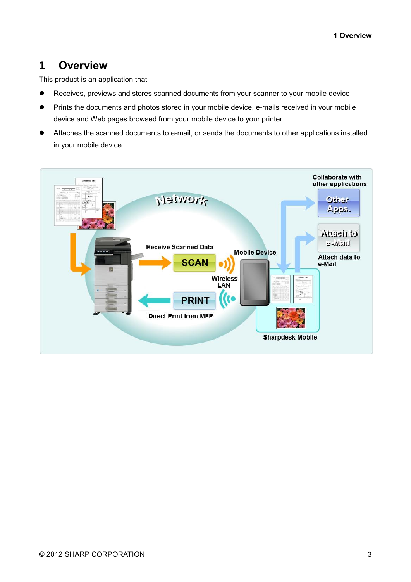# <span id="page-2-0"></span>**1 Overview**

This product is an application that

- Receives, previews and stores scanned documents from your scanner to your mobile device
- **•** Prints the documents and photos stored in your mobile device, e-mails received in your mobile device and Web pages browsed from your mobile device to your printer
- Attaches the scanned documents to e-mail, or sends the documents to other applications installed in your mobile device

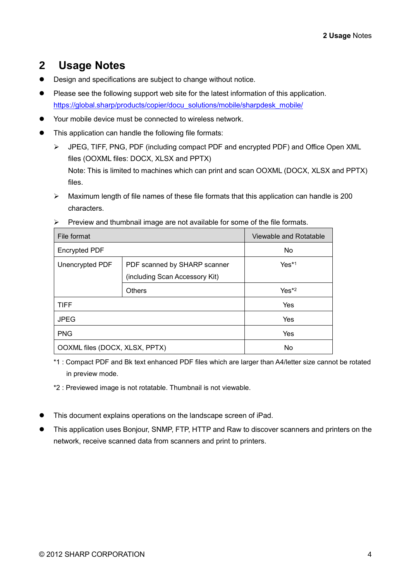# <span id="page-3-0"></span>**2 Usage Notes**

- Design and specifications are subject to change without notice.
- Please see the following support web site for the latest information of this application. [https://global.sharp/products/copier/docu\\_solutions/mobile/sharpdesk\\_mobile/](https://global.sharp/products/copier/docu_solutions/mobile/sharpdesk_mobile/)
- Your mobile device must be connected to wireless network.
- This application can handle the following file formats:
	- ➢ JPEG, TIFF, PNG, PDF (including compact PDF and encrypted PDF) and Office Open XML files (OOXML files: DOCX, XLSX and PPTX) Note: This is limited to machines which can print and scan OOXML (DOCX, XLSX and PPTX) files.
	- ➢ Maximum length of file names of these file formats that this application can handle is 200 characters.

| ັ                              |                                                                |         |
|--------------------------------|----------------------------------------------------------------|---------|
| File format                    | Viewable and Rotatable                                         |         |
| <b>Encrypted PDF</b>           | No.                                                            |         |
| Unencrypted PDF                | PDF scanned by SHARP scanner<br>(including Scan Accessory Kit) | $Yes*1$ |
|                                | <b>Others</b>                                                  | $Yes*2$ |
| <b>TIFF</b>                    |                                                                | Yes     |
| <b>JPEG</b>                    |                                                                | Yes     |
| <b>PNG</b>                     |                                                                | Yes     |
| OOXML files (DOCX, XLSX, PPTX) |                                                                | No      |

 $\triangleright$  Preview and thumbnail image are not available for some of the file formats.

\*1 : Compact PDF and Bk text enhanced PDF files which are larger than A4/letter size cannot be rotated in preview mode.

\*2 : Previewed image is not rotatable. Thumbnail is not viewable.

- This document explains operations on the landscape screen of iPad.
- This application uses Bonjour, SNMP, FTP, HTTP and Raw to discover scanners and printers on the network, receive scanned data from scanners and print to printers.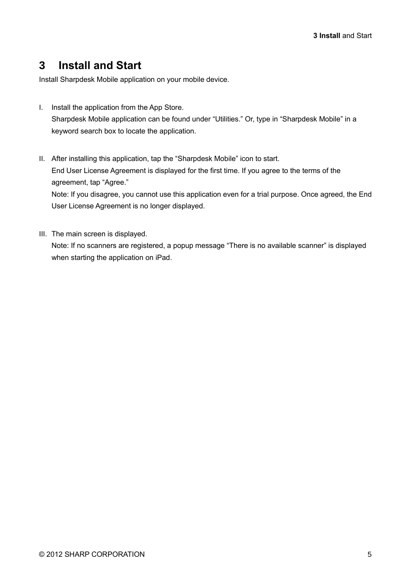# <span id="page-4-0"></span>**3 Install and Start**

Install Sharpdesk Mobile application on your mobile device.

- I. Install the application from the App Store. Sharpdesk Mobile application can be found under "Utilities." Or, type in "Sharpdesk Mobile" in a keyword search box to locate the application.
- II. After installing this application, tap the "Sharpdesk Mobile" icon to start. End User License Agreement is displayed for the first time. If you agree to the terms of the agreement, tap "Agree."

Note: If you disagree, you cannot use this application even for a trial purpose. Once agreed, the End User License Agreement is no longer displayed.

III. The main screen is displayed.

Note: If no scanners are registered, a popup message "There is no available scanner" is displayed when starting the application on iPad.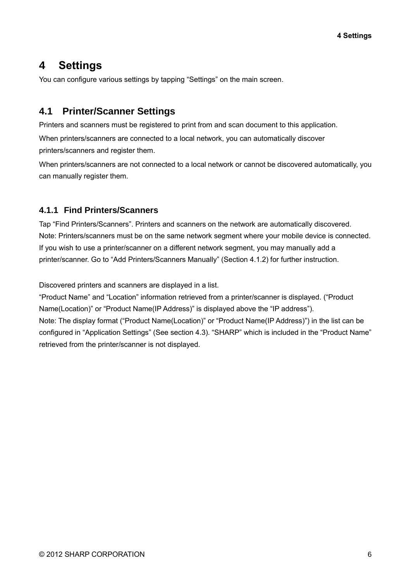# <span id="page-5-0"></span>**4 Settings**

You can configure various settings by tapping "Settings" on the main screen.

## <span id="page-5-1"></span>**4.1 Printer/Scanner Settings**

Printers and scanners must be registered to print from and scan document to this application.

When printers/scanners are connected to a local network, you can automatically discover printers/scanners and register them.

When printers/scanners are not connected to a local network or cannot be discovered automatically, you can manually register them.

## <span id="page-5-2"></span>**4.1.1 Find Printers/Scanners**

Tap "Find Printers/Scanners". Printers and scanners on the network are automatically discovered. Note: Printers/scanners must be on the same network segment where your mobile device is connected. If you wish to use a printer/scanner on a different network segment, you may manually add a printer/scanner. Go to "Add Printers/Scanners Manually" (Section [4.1.2\)](#page-6-0) for further instruction.

Discovered printers and scanners are displayed in a list.

"Product Name" and "Location" information retrieved from a printer/scanner is displayed. ("Product Name(Location)" or "Product Name(IP Address)" is displayed above the "IP address"). Note: The display format ("Product Name(Location)" or "Product Name(IP Address)") in the list can be configured in "Application Settings" (See section [4.3\)](#page-10-0). "SHARP" which is included in the "Product Name" retrieved from the printer/scanner is not displayed.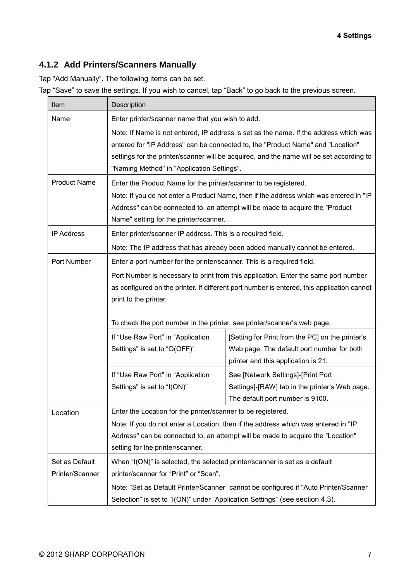## <span id="page-6-0"></span>**4.1.2 Add Printers/Scanners Manually**

Tap "Add Manually". The following items can be set.

Tap "Save" to save the settings. If you wish to cancel, tap "Back" to go back to the previous screen.

| Item                                                                                                                                                                                                                                                                                                               | Description                                                                                                                                                                                                |                                                                                                                                                                         |  |  |
|--------------------------------------------------------------------------------------------------------------------------------------------------------------------------------------------------------------------------------------------------------------------------------------------------------------------|------------------------------------------------------------------------------------------------------------------------------------------------------------------------------------------------------------|-------------------------------------------------------------------------------------------------------------------------------------------------------------------------|--|--|
| Name                                                                                                                                                                                                                                                                                                               | Enter printer/scanner name that you wish to add.                                                                                                                                                           |                                                                                                                                                                         |  |  |
| Note: If Name is not entered, IP address is set as the name. If the address which was<br>entered for "IP Address" can be connected to, the "Product Name" and "Location"<br>settings for the printer/scanner will be acquired, and the name will be set according to<br>"Naming Method" in "Application Settings". |                                                                                                                                                                                                            |                                                                                                                                                                         |  |  |
| <b>Product Name</b>                                                                                                                                                                                                                                                                                                | Enter the Product Name for the printer/scanner to be registered.                                                                                                                                           |                                                                                                                                                                         |  |  |
|                                                                                                                                                                                                                                                                                                                    | Name" setting for the printer/scanner.                                                                                                                                                                     | Note: If you do not enter a Product Name, then if the address which was entered in "IP<br>Address" can be connected to, an attempt will be made to acquire the "Product |  |  |
| <b>IP Address</b>                                                                                                                                                                                                                                                                                                  | Enter printer/scanner IP address. This is a required field.                                                                                                                                                |                                                                                                                                                                         |  |  |
|                                                                                                                                                                                                                                                                                                                    | Note: The IP address that has already been added manually cannot be entered.                                                                                                                               |                                                                                                                                                                         |  |  |
| Port Number                                                                                                                                                                                                                                                                                                        | Enter a port number for the printer/scanner. This is a required field.                                                                                                                                     |                                                                                                                                                                         |  |  |
|                                                                                                                                                                                                                                                                                                                    | Port Number is necessary to print from this application. Enter the same port number<br>as configured on the printer. If different port number is entered, this application cannot<br>print to the printer. |                                                                                                                                                                         |  |  |
|                                                                                                                                                                                                                                                                                                                    | To check the port number in the printer, see printer/scanner's web page.                                                                                                                                   |                                                                                                                                                                         |  |  |
|                                                                                                                                                                                                                                                                                                                    | If "Use Raw Port" in "Application<br>Settings" is set to "O(OFF)"                                                                                                                                          | [Setting for Print from the PC] on the printer's<br>Web page. The default port number for both<br>printer and this application is 21.                                   |  |  |
|                                                                                                                                                                                                                                                                                                                    | If "Use Raw Port" in "Application                                                                                                                                                                          | See [Network Settings]-[Print Port                                                                                                                                      |  |  |
|                                                                                                                                                                                                                                                                                                                    | Settings" is set to "I(ON)"                                                                                                                                                                                | Settings]-[RAW] tab in the printer's Web page.<br>The default port number is 9100.                                                                                      |  |  |
| Location                                                                                                                                                                                                                                                                                                           | Enter the Location for the printer/scanner to be registered.                                                                                                                                               |                                                                                                                                                                         |  |  |
|                                                                                                                                                                                                                                                                                                                    | Note: If you do not enter a Location, then if the address which was entered in "IP<br>Address" can be connected to, an attempt will be made to acquire the "Location"<br>setting for the printer/scanner.  |                                                                                                                                                                         |  |  |
| Set as Default<br>Printer/Scanner                                                                                                                                                                                                                                                                                  | When "I(ON)" is selected, the selected printer/scanner is set as a default<br>printer/scanner for "Print" or "Scan".                                                                                       |                                                                                                                                                                         |  |  |
|                                                                                                                                                                                                                                                                                                                    | Note: "Set as Default Printer/Scanner" cannot be configured if "Auto Printer/Scanner<br>Selection" is set to "I(ON)" under "Application Settings" (see section 4.3).                                       |                                                                                                                                                                         |  |  |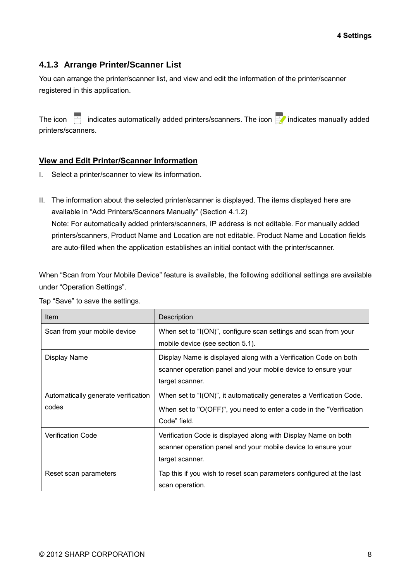## <span id="page-7-0"></span>**4.1.3 Arrange Printer/Scanner List**

You can arrange the printer/scanner list, and view and edit the information of the printer/scanner registered in this application.

The icon indicates automatically added printers/scanners. The icon  $\frac{1}{2}$  indicates manually added printers/scanners.

#### **View and Edit Printer/Scanner Information**

- I. Select a printer/scanner to view its information.
- II. The information about the selected printer/scanner is displayed. The items displayed here are available in "Add Printers/Scanners Manually" (Section [4.1.2\)](#page-6-0) Note: For automatically added printers/scanners, IP address is not editable. For manually added printers/scanners, Product Name and Location are not editable. Product Name and Location fields are auto-filled when the application establishes an initial contact with the printer/scanner.

When "Scan from Your Mobile Device" feature is available, the following additional settings are available under "Operation Settings".

| Item                                | Description                                                          |
|-------------------------------------|----------------------------------------------------------------------|
| Scan from your mobile device        | When set to "I(ON)", configure scan settings and scan from your      |
|                                     | mobile device (see section 5.1).                                     |
| Display Name                        | Display Name is displayed along with a Verification Code on both     |
|                                     | scanner operation panel and your mobile device to ensure your        |
|                                     | target scanner.                                                      |
| Automatically generate verification | When set to "I(ON)", it automatically generates a Verification Code. |
| codes                               | When set to "O(OFF)", you need to enter a code in the "Verification" |
|                                     | Code" field.                                                         |
| <b>Verification Code</b>            | Verification Code is displayed along with Display Name on both       |
|                                     | scanner operation panel and your mobile device to ensure your        |
|                                     | target scanner.                                                      |
| Reset scan parameters               | Tap this if you wish to reset scan parameters configured at the last |
|                                     | scan operation.                                                      |

Tap "Save" to save the settings.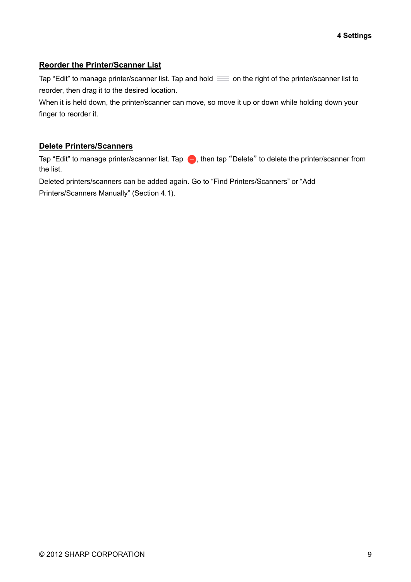#### **Reorder the Printer/Scanner List**

Tap "Edit" to manage printer/scanner list. Tap and hold  $\equiv$  on the right of the printer/scanner list to reorder, then drag it to the desired location.

When it is held down, the printer/scanner can move, so move it up or down while holding down your finger to reorder it.

#### **Delete Printers/Scanners**

Tap "Edit" to manage printer/scanner list. Tap  $\bigoplus$ , then tap "Delete" to delete the printer/scanner from the list.

Deleted printers/scanners can be added again. Go to "Find Printers/Scanners" or "Add Printers/Scanners Manually" (Section [4.1\)](#page-5-1).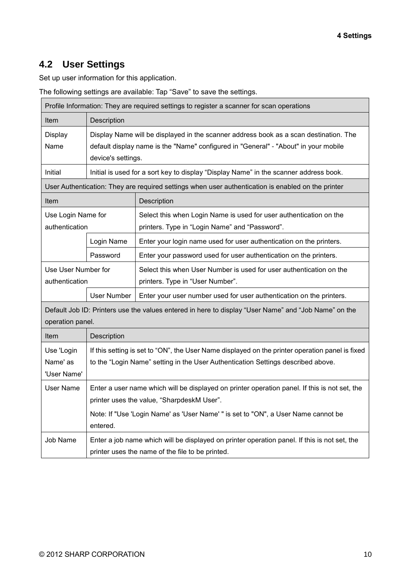## <span id="page-9-0"></span>**4.2 User Settings**

Set up user information for this application.

The following settings are available: Tap "Save" to save the settings.

| Profile Information: They are required settings to register a scanner for scan operations                                |                                                                                                                                                                              |                                                                                                    |  |  |
|--------------------------------------------------------------------------------------------------------------------------|------------------------------------------------------------------------------------------------------------------------------------------------------------------------------|----------------------------------------------------------------------------------------------------|--|--|
| Item                                                                                                                     | Description                                                                                                                                                                  |                                                                                                    |  |  |
| Display<br>Name                                                                                                          | Display Name will be displayed in the scanner address book as a scan destination. The<br>default display name is the "Name" configured in "General" - "About" in your mobile |                                                                                                    |  |  |
|                                                                                                                          | device's settings.                                                                                                                                                           |                                                                                                    |  |  |
| Initial                                                                                                                  |                                                                                                                                                                              | Initial is used for a sort key to display "Display Name" in the scanner address book.              |  |  |
|                                                                                                                          |                                                                                                                                                                              | User Authentication: They are required settings when user authentication is enabled on the printer |  |  |
| Item                                                                                                                     |                                                                                                                                                                              | Description                                                                                        |  |  |
| Use Login Name for                                                                                                       |                                                                                                                                                                              | Select this when Login Name is used for user authentication on the                                 |  |  |
| authentication                                                                                                           |                                                                                                                                                                              | printers. Type in "Login Name" and "Password".                                                     |  |  |
|                                                                                                                          | Login Name                                                                                                                                                                   | Enter your login name used for user authentication on the printers.                                |  |  |
|                                                                                                                          | Password                                                                                                                                                                     | Enter your password used for user authentication on the printers.                                  |  |  |
| Use User Number for                                                                                                      |                                                                                                                                                                              | Select this when User Number is used for user authentication on the                                |  |  |
| authentication                                                                                                           |                                                                                                                                                                              | printers. Type in "User Number".                                                                   |  |  |
|                                                                                                                          | User Number                                                                                                                                                                  | Enter your user number used for user authentication on the printers.                               |  |  |
| Default Job ID: Printers use the values entered in here to display "User Name" and "Job Name" on the<br>operation panel. |                                                                                                                                                                              |                                                                                                    |  |  |
| Item                                                                                                                     | Description                                                                                                                                                                  |                                                                                                    |  |  |
| Use 'Login                                                                                                               |                                                                                                                                                                              | If this setting is set to "ON", the User Name displayed on the printer operation panel is fixed    |  |  |
| Name' as                                                                                                                 | to the "Login Name" setting in the User Authentication Settings described above.                                                                                             |                                                                                                    |  |  |
| 'User Name'                                                                                                              |                                                                                                                                                                              |                                                                                                    |  |  |
| <b>User Name</b>                                                                                                         | Enter a user name which will be displayed on printer operation panel. If this is not set, the                                                                                |                                                                                                    |  |  |
|                                                                                                                          | printer uses the value, "SharpdeskM User".                                                                                                                                   |                                                                                                    |  |  |
|                                                                                                                          | Note: If "Use 'Login Name' as 'User Name' " is set to "ON", a User Name cannot be                                                                                            |                                                                                                    |  |  |
| entered.                                                                                                                 |                                                                                                                                                                              |                                                                                                    |  |  |
| Job Name                                                                                                                 |                                                                                                                                                                              | Enter a job name which will be displayed on printer operation panel. If this is not set, the       |  |  |
|                                                                                                                          | printer uses the name of the file to be printed.                                                                                                                             |                                                                                                    |  |  |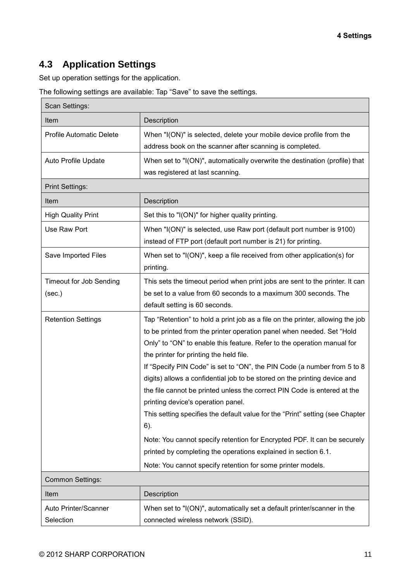# <span id="page-10-0"></span>**4.3 Application Settings**

Set up operation settings for the application.

The following settings are available: Tap "Save" to save the settings.

| Scan Settings:                           |                                                                                                                                                                                                                                                                                                                                                                                                                                                                                                                                                                                                                                                                                                                                                                                                                                                               |  |
|------------------------------------------|---------------------------------------------------------------------------------------------------------------------------------------------------------------------------------------------------------------------------------------------------------------------------------------------------------------------------------------------------------------------------------------------------------------------------------------------------------------------------------------------------------------------------------------------------------------------------------------------------------------------------------------------------------------------------------------------------------------------------------------------------------------------------------------------------------------------------------------------------------------|--|
| Item                                     | Description                                                                                                                                                                                                                                                                                                                                                                                                                                                                                                                                                                                                                                                                                                                                                                                                                                                   |  |
| <b>Profile Automatic Delete</b>          | When "I(ON)" is selected, delete your mobile device profile from the<br>address book on the scanner after scanning is completed.                                                                                                                                                                                                                                                                                                                                                                                                                                                                                                                                                                                                                                                                                                                              |  |
| Auto Profile Update                      | When set to "I(ON)", automatically overwrite the destination (profile) that<br>was registered at last scanning.                                                                                                                                                                                                                                                                                                                                                                                                                                                                                                                                                                                                                                                                                                                                               |  |
| <b>Print Settings:</b>                   |                                                                                                                                                                                                                                                                                                                                                                                                                                                                                                                                                                                                                                                                                                                                                                                                                                                               |  |
| Item                                     | Description                                                                                                                                                                                                                                                                                                                                                                                                                                                                                                                                                                                                                                                                                                                                                                                                                                                   |  |
| <b>High Quality Print</b>                | Set this to "I(ON)" for higher quality printing.                                                                                                                                                                                                                                                                                                                                                                                                                                                                                                                                                                                                                                                                                                                                                                                                              |  |
| Use Raw Port                             | When "I(ON)" is selected, use Raw port (default port number is 9100)<br>instead of FTP port (default port number is 21) for printing.                                                                                                                                                                                                                                                                                                                                                                                                                                                                                                                                                                                                                                                                                                                         |  |
| Save Imported Files                      | When set to "I(ON)", keep a file received from other application(s) for<br>printing.                                                                                                                                                                                                                                                                                                                                                                                                                                                                                                                                                                                                                                                                                                                                                                          |  |
| <b>Timeout for Job Sending</b><br>(sec.) | This sets the timeout period when print jobs are sent to the printer. It can<br>be set to a value from 60 seconds to a maximum 300 seconds. The<br>default setting is 60 seconds.                                                                                                                                                                                                                                                                                                                                                                                                                                                                                                                                                                                                                                                                             |  |
| <b>Retention Settings</b>                | Tap "Retention" to hold a print job as a file on the printer, allowing the job<br>to be printed from the printer operation panel when needed. Set "Hold<br>Only" to "ON" to enable this feature. Refer to the operation manual for<br>the printer for printing the held file.<br>If "Specify PIN Code" is set to "ON", the PIN Code (a number from 5 to 8<br>digits) allows a confidential job to be stored on the printing device and<br>the file cannot be printed unless the correct PIN Code is entered at the<br>printing device's operation panel.<br>This setting specifies the default value for the "Print" setting (see Chapter<br>6).<br>Note: You cannot specify retention for Encrypted PDF. It can be securely<br>printed by completing the operations explained in section 6.1.<br>Note: You cannot specify retention for some printer models. |  |
| <b>Common Settings:</b>                  |                                                                                                                                                                                                                                                                                                                                                                                                                                                                                                                                                                                                                                                                                                                                                                                                                                                               |  |
| Item                                     | Description                                                                                                                                                                                                                                                                                                                                                                                                                                                                                                                                                                                                                                                                                                                                                                                                                                                   |  |
| Auto Printer/Scanner<br>Selection        | When set to "I(ON)", automatically set a default printer/scanner in the<br>connected wireless network (SSID).                                                                                                                                                                                                                                                                                                                                                                                                                                                                                                                                                                                                                                                                                                                                                 |  |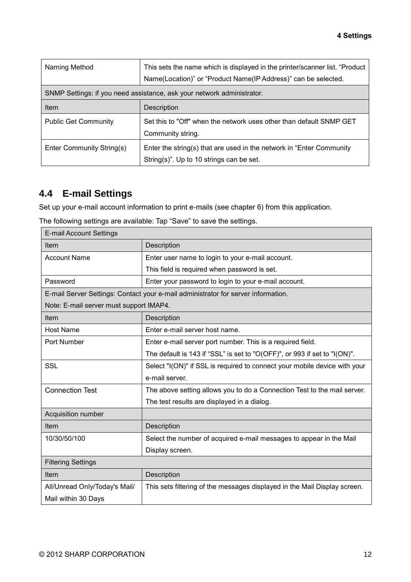| Naming Method               | This sets the name which is displayed in the printer/scanner list. "Product<br>Name(Location)" or "Product Name(IP Address)" can be selected. |
|-----------------------------|-----------------------------------------------------------------------------------------------------------------------------------------------|
|                             | SNMP Settings: if you need assistance, ask your network administrator.                                                                        |
| Item                        | <b>Description</b>                                                                                                                            |
| <b>Public Get Community</b> | Set this to "Off" when the network uses other than default SNMP GET<br>Community string.                                                      |
| Enter Community String(s)   | Enter the string(s) that are used in the network in "Enter Community<br>String(s)". Up to 10 strings can be set.                              |

# <span id="page-11-0"></span>**4.4 E-mail Settings**

Set up your e-mail account information to print e-mails (see chapter [6\)](#page-18-0) from this application.

| The following settings are available: Tap "Save" to save the settings. |  |  |
|------------------------------------------------------------------------|--|--|
|------------------------------------------------------------------------|--|--|

| <b>E-mail Account Settings</b>          |                                                                                   |  |  |
|-----------------------------------------|-----------------------------------------------------------------------------------|--|--|
| Item                                    | Description                                                                       |  |  |
| <b>Account Name</b>                     | Enter user name to login to your e-mail account.                                  |  |  |
|                                         | This field is required when password is set.                                      |  |  |
| Password                                | Enter your password to login to your e-mail account.                              |  |  |
|                                         | E-mail Server Settings: Contact your e-mail administrator for server information. |  |  |
| Note: E-mail server must support IMAP4. |                                                                                   |  |  |
| Item                                    | Description                                                                       |  |  |
| <b>Host Name</b>                        | Enter e-mail server host name.                                                    |  |  |
| Port Number                             | Enter e-mail server port number. This is a required field.                        |  |  |
|                                         | The default is 143 if "SSL" is set to "O(OFF)", or 993 if set to "I(ON)".         |  |  |
| <b>SSL</b>                              | Select "I(ON)" if SSL is required to connect your mobile device with your         |  |  |
|                                         | e-mail server.                                                                    |  |  |
| <b>Connection Test</b>                  | The above setting allows you to do a Connection Test to the mail server.          |  |  |
|                                         | The test results are displayed in a dialog.                                       |  |  |
| Acquisition number                      |                                                                                   |  |  |
| <b>Item</b>                             | Description                                                                       |  |  |
| 10/30/50/100                            | Select the number of acquired e-mail messages to appear in the Mail               |  |  |
|                                         | Display screen.                                                                   |  |  |
| <b>Filtering Settings</b>               |                                                                                   |  |  |
| Item                                    | Description                                                                       |  |  |
| All/Unread Only/Today's Mail/           | This sets filtering of the messages displayed in the Mail Display screen.         |  |  |
| Mail within 30 Days                     |                                                                                   |  |  |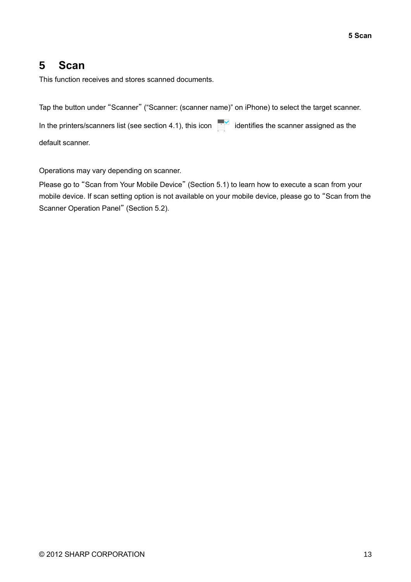# <span id="page-12-0"></span>**5 Scan**

This function receives and stores scanned documents.

Tap the button under "Scanner" ("Scanner: (scanner name)" on iPhone) to select the target scanner.

In the printers/scanners list (see section [4.1\)](#page-5-1), this icon  $\overline{a}$  identifies the scanner assigned as the default scanner.

Operations may vary depending on scanner.

Please go to "Scan from Your Mobile Device" (Section [5.1\)](#page-13-0) to learn how to execute a scan from your mobile device. If scan setting option is not available on your mobile device, please go to "Scan from the Scanner Operation Panel" (Section [5.2\)](#page-17-0).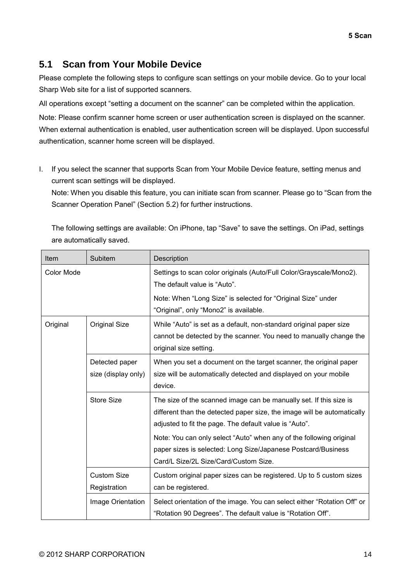## <span id="page-13-0"></span>**5.1 Scan from Your Mobile Device**

Please complete the following steps to configure scan settings on your mobile device. Go to your local Sharp Web site for a list of supported scanners.

All operations except "setting a document on the scanner" can be completed within the application.

Note: Please confirm scanner home screen or user authentication screen is displayed on the scanner. When external authentication is enabled, user authentication screen will be displayed. Upon successful authentication, scanner home screen will be displayed.

I. If you select the scanner that supports Scan from Your Mobile Device feature, setting menus and current scan settings will be displayed.

Note: When you disable this feature, you can initiate scan from scanner. Please go to "Scan from the Scanner Operation Panel" (Section [5.2\)](#page-17-0) for further instructions.

The following settings are available: On iPhone, tap "Save" to save the settings. On iPad, settings are automatically saved.

| Item              | Subitem                               | Description                                                                                                                                                                                                                                                                                                                                                                              |
|-------------------|---------------------------------------|------------------------------------------------------------------------------------------------------------------------------------------------------------------------------------------------------------------------------------------------------------------------------------------------------------------------------------------------------------------------------------------|
| <b>Color Mode</b> |                                       | Settings to scan color originals (Auto/Full Color/Grayscale/Mono2).<br>The default value is "Auto".                                                                                                                                                                                                                                                                                      |
|                   |                                       | Note: When "Long Size" is selected for "Original Size" under<br>"Original", only "Mono2" is available.                                                                                                                                                                                                                                                                                   |
| Original          | <b>Original Size</b>                  | While "Auto" is set as a default, non-standard original paper size<br>cannot be detected by the scanner. You need to manually change the<br>original size setting.                                                                                                                                                                                                                       |
|                   | Detected paper<br>size (display only) | When you set a document on the target scanner, the original paper<br>size will be automatically detected and displayed on your mobile<br>device.                                                                                                                                                                                                                                         |
|                   | <b>Store Size</b>                     | The size of the scanned image can be manually set. If this size is<br>different than the detected paper size, the image will be automatically<br>adjusted to fit the page. The default value is "Auto".<br>Note: You can only select "Auto" when any of the following original<br>paper sizes is selected: Long Size/Japanese Postcard/Business<br>Card/L Size/2L Size/Card/Custom Size. |
|                   | <b>Custom Size</b><br>Registration    | Custom original paper sizes can be registered. Up to 5 custom sizes<br>can be registered.                                                                                                                                                                                                                                                                                                |
|                   | Image Orientation                     | Select orientation of the image. You can select either "Rotation Off" or<br>"Rotation 90 Degrees". The default value is "Rotation Off".                                                                                                                                                                                                                                                  |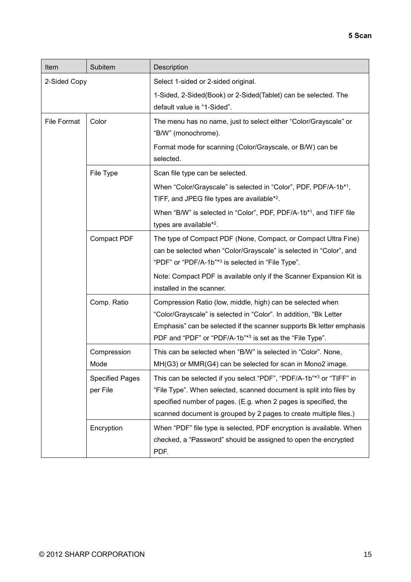| Item               | Subitem                | Description                                                                                   |
|--------------------|------------------------|-----------------------------------------------------------------------------------------------|
| 2-Sided Copy       |                        | Select 1-sided or 2-sided original.                                                           |
|                    |                        | 1-Sided, 2-Sided(Book) or 2-Sided(Tablet) can be selected. The<br>default value is "1-Sided". |
|                    |                        |                                                                                               |
| <b>File Format</b> | Color                  | The menu has no name, just to select either "Color/Grayscale" or                              |
|                    |                        | "B/W" (monochrome).                                                                           |
|                    |                        | Format mode for scanning (Color/Grayscale, or B/W) can be                                     |
|                    |                        | selected.                                                                                     |
|                    | File Type              | Scan file type can be selected.                                                               |
|                    |                        | When "Color/Grayscale" is selected in "Color", PDF, PDF/A-1b*1,                               |
|                    |                        | TIFF, and JPEG file types are available*2.                                                    |
|                    |                        | When "B/W" is selected in "Color", PDF, PDF/A-1b*1, and TIFF file                             |
|                    |                        | types are available*2.                                                                        |
|                    | Compact PDF            | The type of Compact PDF (None, Compact, or Compact Ultra Fine)                                |
|                    |                        | can be selected when "Color/Grayscale" is selected in "Color", and                            |
|                    |                        | "PDF" or "PDF/A-1b"* <sup>3</sup> is selected in "File Type".                                 |
|                    |                        | Note: Compact PDF is available only if the Scanner Expansion Kit is                           |
|                    |                        | installed in the scanner.                                                                     |
|                    | Comp. Ratio            | Compression Ratio (low, middle, high) can be selected when                                    |
|                    |                        | "Color/Grayscale" is selected in "Color". In addition, "Bk Letter                             |
|                    |                        | Emphasis" can be selected if the scanner supports Bk letter emphasis                          |
|                    |                        | PDF and "PDF" or "PDF/A-1b"*3 is set as the "File Type".                                      |
|                    | Compression            | This can be selected when "B/W" is selected in "Color". None,                                 |
|                    | Mode                   | MH(G3) or MMR(G4) can be selected for scan in Mono2 image.                                    |
|                    | <b>Specified Pages</b> | This can be selected if you select "PDF", "PDF/A-1b"*3 or "TIFF" in                           |
|                    | per File               | "File Type". When selected, scanned document is split into files by                           |
|                    |                        | specified number of pages. (E.g. when 2 pages is specified, the                               |
|                    |                        | scanned document is grouped by 2 pages to create multiple files.)                             |
|                    | Encryption             | When "PDF" file type is selected, PDF encryption is available. When                           |
|                    |                        | checked, a "Password" should be assigned to open the encrypted                                |
|                    |                        | PDF.                                                                                          |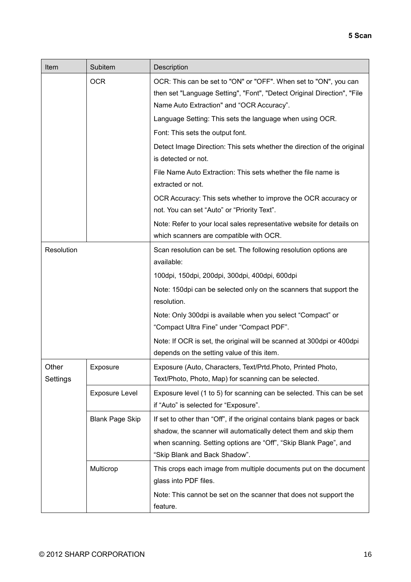| Item              | Subitem                | Description                                                                                                                                                                                                                                       |
|-------------------|------------------------|---------------------------------------------------------------------------------------------------------------------------------------------------------------------------------------------------------------------------------------------------|
|                   | <b>OCR</b>             | OCR: This can be set to "ON" or "OFF". When set to "ON", you can<br>then set "Language Setting", "Font", "Detect Original Direction", "File<br>Name Auto Extraction" and "OCR Accuracy".                                                          |
|                   |                        | Language Setting: This sets the language when using OCR.                                                                                                                                                                                          |
|                   |                        | Font: This sets the output font.                                                                                                                                                                                                                  |
|                   |                        | Detect Image Direction: This sets whether the direction of the original<br>is detected or not.                                                                                                                                                    |
|                   |                        | File Name Auto Extraction: This sets whether the file name is<br>extracted or not.                                                                                                                                                                |
|                   |                        | OCR Accuracy: This sets whether to improve the OCR accuracy or<br>not. You can set "Auto" or "Priority Text".                                                                                                                                     |
|                   |                        | Note: Refer to your local sales representative website for details on<br>which scanners are compatible with OCR.                                                                                                                                  |
| Resolution        |                        | Scan resolution can be set. The following resolution options are<br>available:                                                                                                                                                                    |
|                   |                        | 100dpi, 150dpi, 200dpi, 300dpi, 400dpi, 600dpi                                                                                                                                                                                                    |
|                   |                        | Note: 150dpi can be selected only on the scanners that support the<br>resolution.                                                                                                                                                                 |
|                   |                        | Note: Only 300dpi is available when you select "Compact" or<br>"Compact Ultra Fine" under "Compact PDF".                                                                                                                                          |
|                   |                        | Note: If OCR is set, the original will be scanned at 300dpi or 400dpi<br>depends on the setting value of this item.                                                                                                                               |
| Other<br>Settings | Exposure               | Exposure (Auto, Characters, Text/Prtd.Photo, Printed Photo,<br>Text/Photo, Photo, Map) for scanning can be selected.                                                                                                                              |
|                   | <b>Exposure Level</b>  | Exposure level (1 to 5) for scanning can be selected. This can be set<br>if "Auto" is selected for "Exposure".                                                                                                                                    |
|                   | <b>Blank Page Skip</b> | If set to other than "Off", if the original contains blank pages or back<br>shadow, the scanner will automatically detect them and skip them<br>when scanning. Setting options are "Off", "Skip Blank Page", and<br>"Skip Blank and Back Shadow". |
|                   | Multicrop              | This crops each image from multiple documents put on the document<br>glass into PDF files.<br>Note: This cannot be set on the scanner that does not support the<br>feature.                                                                       |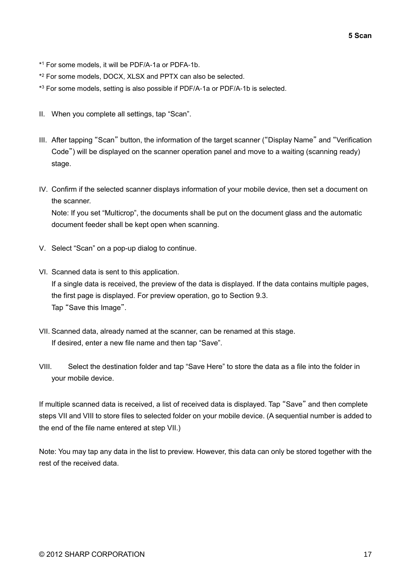- \* <sup>1</sup> For some models, it will be PDF/A-1a or PDFA-1b.
- \* <sup>2</sup> For some models, DOCX, XLSX and PPTX can also be selected.
- \* <sup>3</sup> For some models, setting is also possible if PDF/A-1a or PDF/A-1b is selected.
- II. When you complete all settings, tap "Scan".
- III. After tapping "Scan" button, the information of the target scanner ("Display Name" and "Verification Code") will be displayed on the scanner operation panel and move to a waiting (scanning ready) stage.
- IV. Confirm if the selected scanner displays information of your mobile device, then set a document on the scanner.

Note: If you set "Multicrop", the documents shall be put on the document glass and the automatic document feeder shall be kept open when scanning.

- V. Select "Scan" on a pop-up dialog to continue.
- <span id="page-16-2"></span>VI. Scanned data is sent to this application. If a single data is received, the preview of the data is displayed. If the data contains multiple pages, the first page is displayed. For preview operation, go to Section [9.3.](#page-26-0) Tap "Save this Image".
- <span id="page-16-0"></span>VII. Scanned data, already named at the scanner, can be renamed at this stage. If desired, enter a new file name and then tap "Save".
- <span id="page-16-1"></span>VIII. Select the destination folder and tap "Save Here" to store the data as a file into the folder in your mobile device.

If multiple scanned data is received, a list of received data is displayed. Tap "Save" and then complete steps [VII](#page-16-0) and [VIII](#page-16-1) to store files to selected folder on your mobile device. (A sequential number is added to the end of the file name entered at step [VII.](#page-16-0))

Note: You may tap any data in the list to preview. However, this data can only be stored together with the rest of the received data.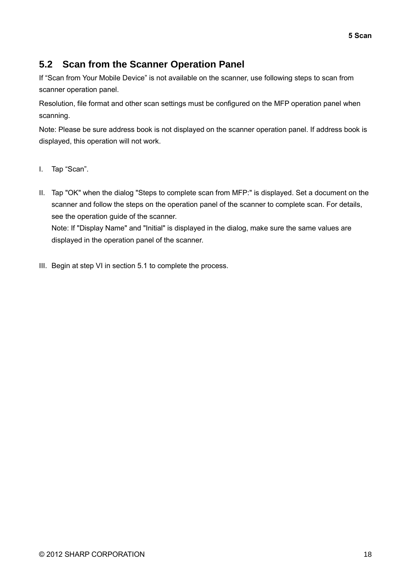## <span id="page-17-0"></span>**5.2 Scan from the Scanner Operation Panel**

If "Scan from Your Mobile Device" is not available on the scanner, use following steps to scan from scanner operation panel.

Resolution, file format and other scan settings must be configured on the MFP operation panel when scanning.

Note: Please be sure address book is not displayed on the scanner operation panel. If address book is displayed, this operation will not work.

- I. Tap "Scan".
- II. Tap "OK" when the dialog "Steps to complete scan from MFP:" is displayed. Set a document on the scanner and follow the steps on the operation panel of the scanner to complete scan. For details, see the operation guide of the scanner. Note: If "Display Name" and "Initial" is displayed in the dialog, make sure the same values are displayed in the operation panel of the scanner.
- III. Begin at step [VI](#page-16-2) in section [5.1](#page-13-0) to complete the process.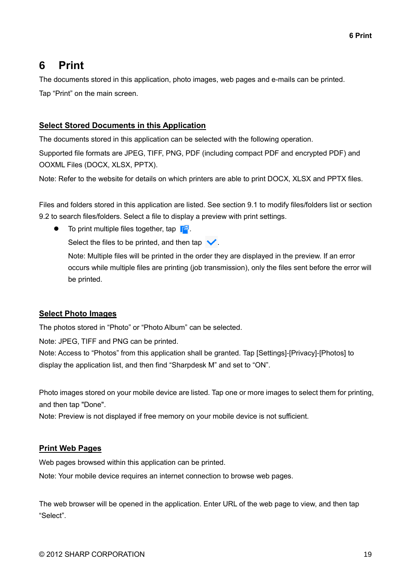# <span id="page-18-0"></span>**6 Print**

The documents stored in this application, photo images, web pages and e-mails can be printed. Tap "Print" on the main screen.

#### **Select Stored Documents in this Application**

The documents stored in this application can be selected with the following operation.

Supported file formats are JPEG, TIFF, PNG, PDF (including compact PDF and encrypted PDF) and OOXML Files (DOCX, XLSX, PPTX).

Note: Refer to the website for details on which printers are able to print DOCX, XLSX and PPTX files.

Files and folders stored in this application are listed. See section [9.1](#page-25-1) to modify files/folders list or section [9.2](#page-25-2) to search files/folders. Select a file to display a preview with print settings.

To print multiple files together, tap  $\mathbb{F}^{\mathbb{Z}}$ .

Select the files to be printed, and then tap  $\blacktriangledown$ .

Note: Multiple files will be printed in the order they are displayed in the preview. If an error occurs while multiple files are printing (job transmission), only the files sent before the error will be printed.

#### **Select Photo Images**

The photos stored in "Photo" or "Photo Album" can be selected.

Note: JPEG, TIFF and PNG can be printed.

Note: Access to "Photos" from this application shall be granted. Tap [Settings]-[Privacy]-[Photos] to display the application list, and then find "Sharpdesk M" and set to "ON".

Photo images stored on your mobile device are listed. Tap one or more images to select them for printing, and then tap "Done".

Note: Preview is not displayed if free memory on your mobile device is not sufficient.

#### **Print Web Pages**

Web pages browsed within this application can be printed.

Note: Your mobile device requires an internet connection to browse web pages.

The web browser will be opened in the application. Enter URL of the web page to view, and then tap "Select".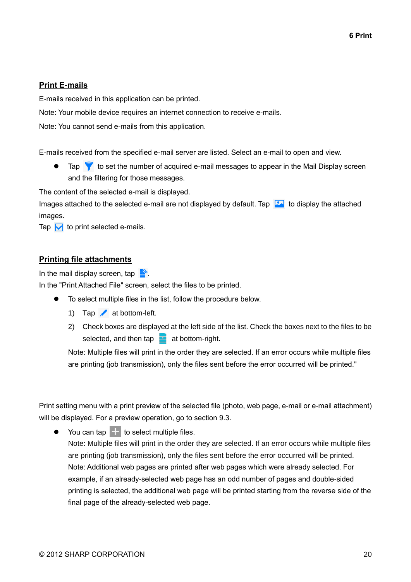#### **Print E-mails**

E-mails received in this application can be printed.

Note: Your mobile device requires an internet connection to receive e-mails.

Note: You cannot send e-mails from this application.

E-mails received from the specified e-mail server are listed. Select an e-mail to open and view.

Tap  $\blacktriangledown$  to set the number of acquired e-mail messages to appear in the Mail Display screen and the filtering for those messages.

The content of the selected e-mail is displayed.

Images attached to the selected e-mail are not displayed by default. Tap  $\Box$  to display the attached images.

Tap  $\triangledown$  to print selected e-mails.

#### **Printing file attachments**

In the mail display screen, tap  $\mathbb{R}^8$ .

In the "Print Attached File" screen, select the files to be printed.

- To select multiple files in the list, follow the procedure below.
	- 1) Tap  $\triangle$  at bottom-left.
	- 2) Check boxes are displayed at the left side of the list. Check the boxes next to the files to be selected, and then tap  $\blacksquare$  at bottom-right.

Note: Multiple files will print in the order they are selected. If an error occurs while multiple files are printing (job transmission), only the files sent before the error occurred will be printed."

Print setting menu with a print preview of the selected file (photo, web page, e-mail or e-mail attachment) will be displayed. For a preview operation, go to section [9.3.](#page-26-0)

 You can tap to select multiple files. Note: Multiple files will print in the order they are selected. If an error occurs while multiple files are printing (job transmission), only the files sent before the error occurred will be printed. Note: Additional web pages are printed after web pages which were already selected. For example, if an already-selected web page has an odd number of pages and double-sided printing is selected, the additional web page will be printed starting from the reverse side of the final page of the already-selected web page.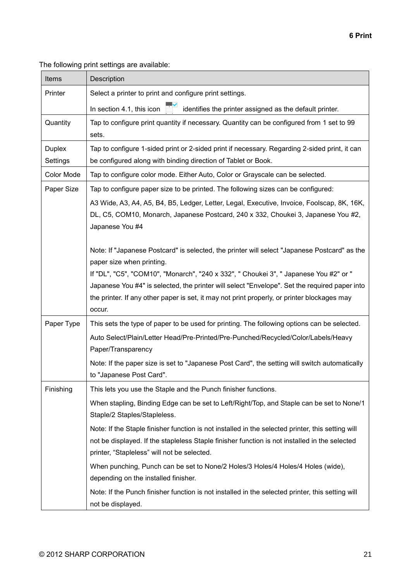The following print settings are available:

| Items         | Description                                                                                                               |  |  |  |
|---------------|---------------------------------------------------------------------------------------------------------------------------|--|--|--|
| Printer       | Select a printer to print and configure print settings.                                                                   |  |  |  |
|               | In section 4.1, this icon<br>identifies the printer assigned as the default printer.                                      |  |  |  |
| Quantity      | Tap to configure print quantity if necessary. Quantity can be configured from 1 set to 99                                 |  |  |  |
|               | sets.                                                                                                                     |  |  |  |
| <b>Duplex</b> | Tap to configure 1-sided print or 2-sided print if necessary. Regarding 2-sided print, it can                             |  |  |  |
| Settings      | be configured along with binding direction of Tablet or Book.                                                             |  |  |  |
| Color Mode    | Tap to configure color mode. Either Auto, Color or Grayscale can be selected.                                             |  |  |  |
| Paper Size    | Tap to configure paper size to be printed. The following sizes can be configured:                                         |  |  |  |
|               | A3 Wide, A3, A4, A5, B4, B5, Ledger, Letter, Legal, Executive, Invoice, Foolscap, 8K, 16K,                                |  |  |  |
|               | DL, C5, COM10, Monarch, Japanese Postcard, 240 x 332, Choukei 3, Japanese You #2,                                         |  |  |  |
|               | Japanese You #4                                                                                                           |  |  |  |
|               | Note: If "Japanese Postcard" is selected, the printer will select "Japanese Postcard" as the                              |  |  |  |
|               | paper size when printing.                                                                                                 |  |  |  |
|               | If "DL", "C5", "COM10", "Monarch", "240 x 332", " Choukei 3", " Japanese You #2" or "                                     |  |  |  |
|               | Japanese You #4" is selected, the printer will select "Envelope". Set the required paper into                             |  |  |  |
|               | the printer. If any other paper is set, it may not print properly, or printer blockages may                               |  |  |  |
|               | occur.                                                                                                                    |  |  |  |
| Paper Type    | This sets the type of paper to be used for printing. The following options can be selected.                               |  |  |  |
|               | Auto Select/Plain/Letter Head/Pre-Printed/Pre-Punched/Recycled/Color/Labels/Heavy                                         |  |  |  |
|               | Paper/Transparency                                                                                                        |  |  |  |
|               | Note: If the paper size is set to "Japanese Post Card", the setting will switch automatically                             |  |  |  |
|               | to "Japanese Post Card".                                                                                                  |  |  |  |
| Finishing     | This lets you use the Staple and the Punch finisher functions.                                                            |  |  |  |
|               | When stapling, Binding Edge can be set to Left/Right/Top, and Staple can be set to None/1<br>Staple/2 Staples/Stapleless. |  |  |  |
|               | Note: If the Staple finisher function is not installed in the selected printer, this setting will                         |  |  |  |
|               | not be displayed. If the stapleless Staple finisher function is not installed in the selected                             |  |  |  |
|               | printer, "Stapleless" will not be selected.                                                                               |  |  |  |
|               | When punching, Punch can be set to None/2 Holes/3 Holes/4 Holes/4 Holes (wide),                                           |  |  |  |
|               | depending on the installed finisher.                                                                                      |  |  |  |
|               | Note: If the Punch finisher function is not installed in the selected printer, this setting will                          |  |  |  |
|               | not be displayed.                                                                                                         |  |  |  |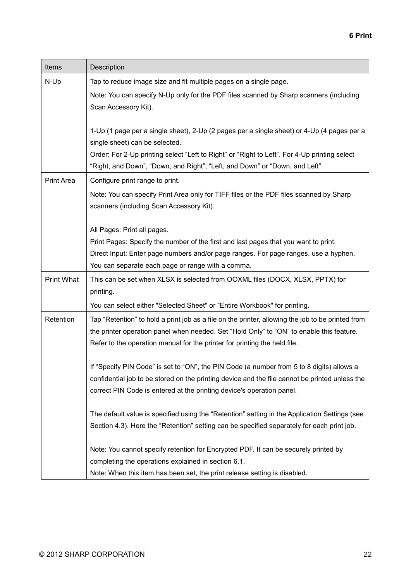| Items             | Description                                                                                                                                                                                                                                                                |  |
|-------------------|----------------------------------------------------------------------------------------------------------------------------------------------------------------------------------------------------------------------------------------------------------------------------|--|
| N-Up              | Tap to reduce image size and fit multiple pages on a single page.                                                                                                                                                                                                          |  |
|                   | Note: You can specify N-Up only for the PDF files scanned by Sharp scanners (including<br>Scan Accessory Kit).                                                                                                                                                             |  |
|                   | 1-Up (1 page per a single sheet), 2-Up (2 pages per a single sheet) or 4-Up (4 pages per a<br>single sheet) can be selected.                                                                                                                                               |  |
|                   | Order: For 2-Up printing select "Left to Right" or "Right to Left". For 4-Up printing select<br>"Right, and Down", "Down, and Right", "Left, and Down" or "Down, and Left".                                                                                                |  |
| Print Area        | Configure print range to print.                                                                                                                                                                                                                                            |  |
|                   | Note: You can specify Print Area only for TIFF files or the PDF files scanned by Sharp<br>scanners (including Scan Accessory Kit).                                                                                                                                         |  |
|                   | All Pages: Print all pages.                                                                                                                                                                                                                                                |  |
|                   | Print Pages: Specify the number of the first and last pages that you want to print.                                                                                                                                                                                        |  |
|                   | Direct Input: Enter page numbers and/or page ranges. For page ranges, use a hyphen.                                                                                                                                                                                        |  |
|                   | You can separate each page or range with a comma.                                                                                                                                                                                                                          |  |
| <b>Print What</b> | This can be set when XLSX is selected from OOXML files (DOCX, XLSX, PPTX) for<br>printing.                                                                                                                                                                                 |  |
|                   | You can select either "Selected Sheet" or "Entire Workbook" for printing.                                                                                                                                                                                                  |  |
| Retention         | Tap "Retention" to hold a print job as a file on the printer, allowing the job to be printed from<br>the printer operation panel when needed. Set "Hold Only" to "ON" to enable this feature.<br>Refer to the operation manual for the printer for printing the held file. |  |
|                   | If "Specify PIN Code" is set to "ON", the PIN Code (a number from 5 to 8 digits) allows a<br>confidential job to be stored on the printing device and the file cannot be printed unless the<br>correct PIN Code is entered at the printing device's operation panel.       |  |
|                   | The default value is specified using the "Retention" setting in the Application Settings (see<br>Section 4.3). Here the "Retention" setting can be specified separately for each print job.                                                                                |  |
|                   | Note: You cannot specify retention for Encrypted PDF. It can be securely printed by                                                                                                                                                                                        |  |
|                   | completing the operations explained in section 6.1.                                                                                                                                                                                                                        |  |
|                   | Note: When this item has been set, the print release setting is disabled.                                                                                                                                                                                                  |  |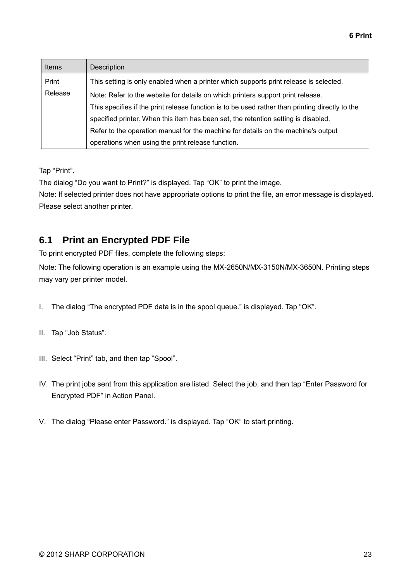| <b>Items</b> | <b>Description</b>                                                                              |
|--------------|-------------------------------------------------------------------------------------------------|
| Print        | This setting is only enabled when a printer which supports print release is selected.           |
| Release      | Note: Refer to the website for details on which printers support print release.                 |
|              | This specifies if the print release function is to be used rather than printing directly to the |
|              | specified printer. When this item has been set, the retention setting is disabled.              |
|              | Refer to the operation manual for the machine for details on the machine's output               |
|              | operations when using the print release function.                                               |

Tap "Print".

The dialog "Do you want to Print?" is displayed. Tap "OK" to print the image.

Note: If selected printer does not have appropriate options to print the file, an error message is displayed. Please select another printer.

## <span id="page-22-0"></span>**6.1 Print an Encrypted PDF File**

To print encrypted PDF files, complete the following steps:

Note: The following operation is an example using the MX-2650N/MX-3150N/MX-3650N. Printing steps may vary per printer model.

- I. The dialog "The encrypted PDF data is in the spool queue." is displayed. Tap "OK".
- II. Tap "Job Status".
- III. Select "Print" tab, and then tap "Spool".
- IV. The print jobs sent from this application are listed. Select the job, and then tap "Enter Password for Encrypted PDF" in Action Panel.
- V. The dialog "Please enter Password." is displayed. Tap "OK" to start printing.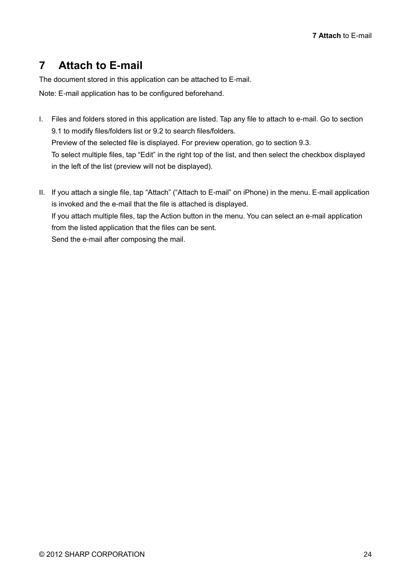# <span id="page-23-0"></span>**7 Attach to E-mail**

The document stored in this application can be attached to E-mail.

Note: E-mail application has to be configured beforehand.

- I. Files and folders stored in this application are listed. Tap any file to attach to e-mail. Go to section [9.1](#page-25-1) to modify files/folders list or [9.2](#page-25-2) to search files/folders. Preview of the selected file is displayed. For preview operation, go to section [9.3.](#page-26-0) To select multiple files, tap "Edit" in the right top of the list, and then select the checkbox displayed in the left of the list (preview will not be displayed).
- II. If you attach a single file, tap "Attach" ("Attach to E-mail" on iPhone) in the menu. E-mail application is invoked and the e-mail that the file is attached is displayed. If you attach multiple files, tap the Action button in the menu. You can select an e-mail application from the listed application that the files can be sent. Send the e-mail after composing the mail.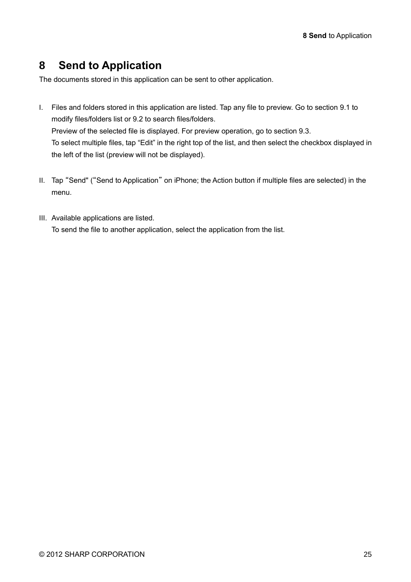# <span id="page-24-0"></span>**8 Send to Application**

The documents stored in this application can be sent to other application.

- I. Files and folders stored in this application are listed. Tap any file to preview. Go to section [9.1](#page-25-1) to modify files/folders list or [9.2](#page-25-2) to search files/folders. Preview of the selected file is displayed. For preview operation, go to section [9.3.](#page-26-0) To select multiple files, tap "Edit" in the right top of the list, and then select the checkbox displayed in the left of the list (preview will not be displayed).
- II. Tap "Send" ("Send to Application" on iPhone; the Action button if multiple files are selected) in the menu.
- III. Available applications are listed. To send the file to another application, select the application from the list.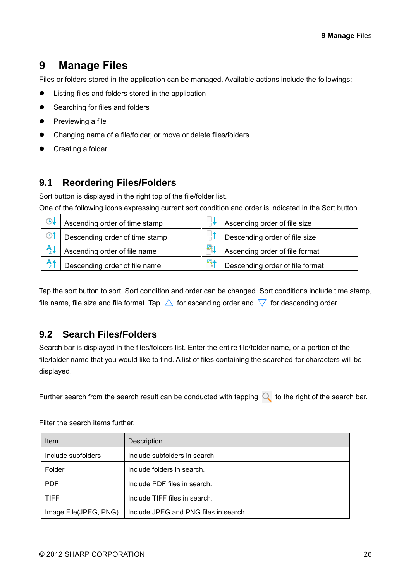# <span id="page-25-0"></span>**9 Manage Files**

Files or folders stored in the application can be managed. Available actions include the followings:

- Listing files and folders stored in the application
- Searching for files and folders
- $\bullet$  Previewing a file
- Changing name of a file/folder, or move or delete files/folders
- Creating a folder.

## <span id="page-25-1"></span>**9.1 Reordering Files/Folders**

Sort button is displayed in the right top of the file/folder list.

One of the following icons expressing current sort condition and order is indicated in the Sort button.

| $\odot$        | Ascending order of time stamp  |   | Ascending order of file size    |
|----------------|--------------------------------|---|---------------------------------|
| $\odot$        | Descending order of time stamp |   | Descending order of file size   |
| $\frac{A}{2}$  | Ascending order of file name   | 剛 | Ascending order of file format  |
| A <sub>2</sub> | Descending order of file name  | 師 | Descending order of file format |

Tap the sort button to sort. Sort condition and order can be changed. Sort conditions include time stamp, file name, file size and file format. Tap  $\triangle$  for ascending order and  $\triangledown$  for descending order.

## <span id="page-25-2"></span>**9.2 Search Files/Folders**

Search bar is displayed in the files/folders list. Enter the entire file/folder name, or a portion of the file/folder name that you would like to find. A list of files containing the searched-for characters will be displayed.

Further search from the search result can be conducted with tapping  $\mathbb Q$  to the right of the search bar.

| Item                  | <b>Description</b>                    |
|-----------------------|---------------------------------------|
| Include subfolders    | Include subfolders in search.         |
| Folder                | Include folders in search.            |
| <b>PDF</b>            | Include PDF files in search.          |
| <b>TIFF</b>           | Include TIFF files in search.         |
| Image File(JPEG, PNG) | Include JPEG and PNG files in search. |

Filter the search items further.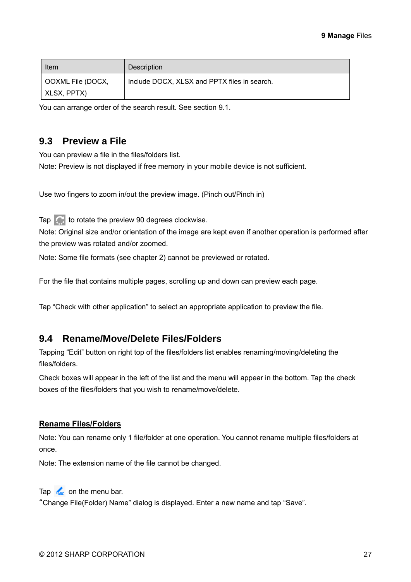| Item              | <b>Description</b>                           |
|-------------------|----------------------------------------------|
| OOXML File (DOCX, | Include DOCX, XLSX and PPTX files in search. |
| XLSX, PPTX)       |                                              |

You can arrange order of the search result. See section [9.1.](#page-25-1)

### <span id="page-26-0"></span>**9.3 Preview a File**

You can preview a file in the files/folders list.

Note: Preview is not displayed if free memory in your mobile device is not sufficient.

Use two fingers to zoom in/out the preview image. (Pinch out/Pinch in)

Tap  $\mathbb{C}$  to rotate the preview 90 degrees clockwise.

Note: Original size and/or orientation of the image are kept even if another operation is performed after the preview was rotated and/or zoomed.

Note: Some file formats (see chapter [2\)](#page-3-0) cannot be previewed or rotated.

For the file that contains multiple pages, scrolling up and down can preview each page.

Tap "Check with other application" to select an appropriate application to preview the file.

### <span id="page-26-1"></span>**9.4 Rename/Move/Delete Files/Folders**

Tapping "Edit" button on right top of the files/folders list enables renaming/moving/deleting the files/folders.

Check boxes will appear in the left of the list and the menu will appear in the bottom. Tap the check boxes of the files/folders that you wish to rename/move/delete.

#### **Rename Files/Folders**

Note: You can rename only 1 file/folder at one operation. You cannot rename multiple files/folders at once.

Note: The extension name of the file cannot be changed.

Tap  $\frac{1}{2}$  on the menu bar.

"Change File(Folder) Name" dialog is displayed. Enter a new name and tap "Save".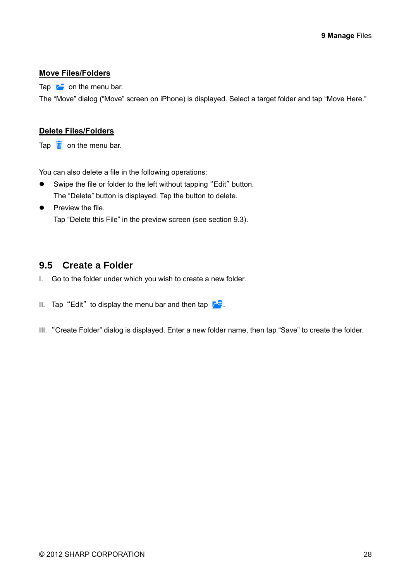#### **Move Files/Folders**

Tap  $\overrightarrow{r}$  on the menu bar.

The "Move" dialog ("Move" screen on iPhone) is displayed. Select a target folder and tap "Move Here."

#### **Delete Files/Folders**

Tap  $\frac{1}{\mathbf{u}}$  on the menu bar.

You can also delete a file in the following operations:

- Swipe the file or folder to the left without tapping "Edit" button. The "Delete" button is displayed. Tap the button to delete.
- $\bullet$  Preview the file. Tap "Delete this File" in the preview screen (see section [9.3\)](#page-26-0).

## <span id="page-27-0"></span>**9.5 Create a Folder**

- I. Go to the folder under which you wish to create a new folder.
- II. Tap "Edit" to display the menu bar and then tap  $\mathcal{F}^{\mathbb{Q}}$ .
- III. "Create Folder" dialog is displayed. Enter a new folder name, then tap "Save" to create the folder.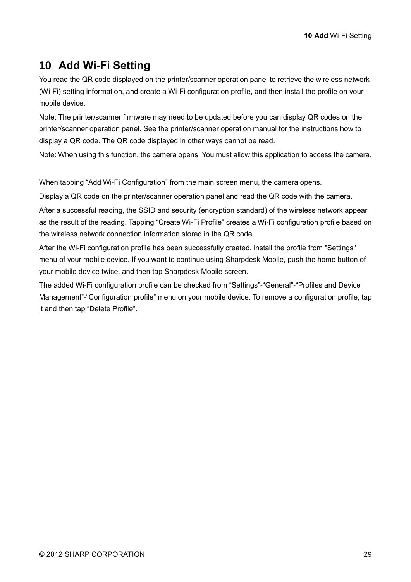# <span id="page-28-0"></span>**10 Add Wi-Fi Setting**

You read the QR code displayed on the printer/scanner operation panel to retrieve the wireless network (Wi-Fi) setting information, and create a Wi-Fi configuration profile, and then install the profile on your mobile device.

Note: The printer/scanner firmware may need to be updated before you can display QR codes on the printer/scanner operation panel. See the printer/scanner operation manual for the instructions how to display a QR code. The QR code displayed in other ways cannot be read.

Note: When using this function, the camera opens. You must allow this application to access the camera.

When tapping "Add Wi-Fi Configuration" from the main screen menu, the camera opens.

Display a QR code on the printer/scanner operation panel and read the QR code with the camera.

After a successful reading, the SSID and security (encryption standard) of the wireless network appear as the result of the reading. Tapping "Create Wi-Fi Profile" creates a Wi-Fi configuration profile based on the wireless network connection information stored in the QR code.

After the Wi-Fi configuration profile has been successfully created, install the profile from "Settings" menu of your mobile device. If you want to continue using Sharpdesk Mobile, push the home button of your mobile device twice, and then tap Sharpdesk Mobile screen.

The added Wi-Fi configuration profile can be checked from "Settings"-"General"-"Profiles and Device Management"-"Configuration profile" menu on your mobile device. To remove a configuration profile, tap it and then tap "Delete Profile".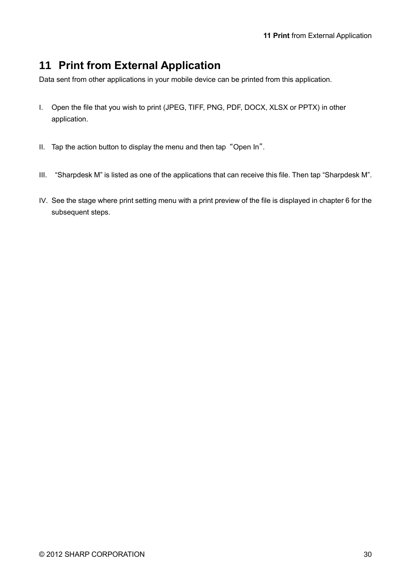# <span id="page-29-0"></span>**11 Print from External Application**

Data sent from other applications in your mobile device can be printed from this application.

- I. Open the file that you wish to print (JPEG, TIFF, PNG, PDF, DOCX, XLSX or PPTX) in other application.
- II. Tap the action button to display the menu and then tap "Open In".
- III. "Sharpdesk M" is listed as one of the applications that can receive this file. Then tap "Sharpdesk M".
- IV. See the stage where print setting menu with a print preview of the file is displayed in chapter [6](#page-18-0) for the subsequent steps.